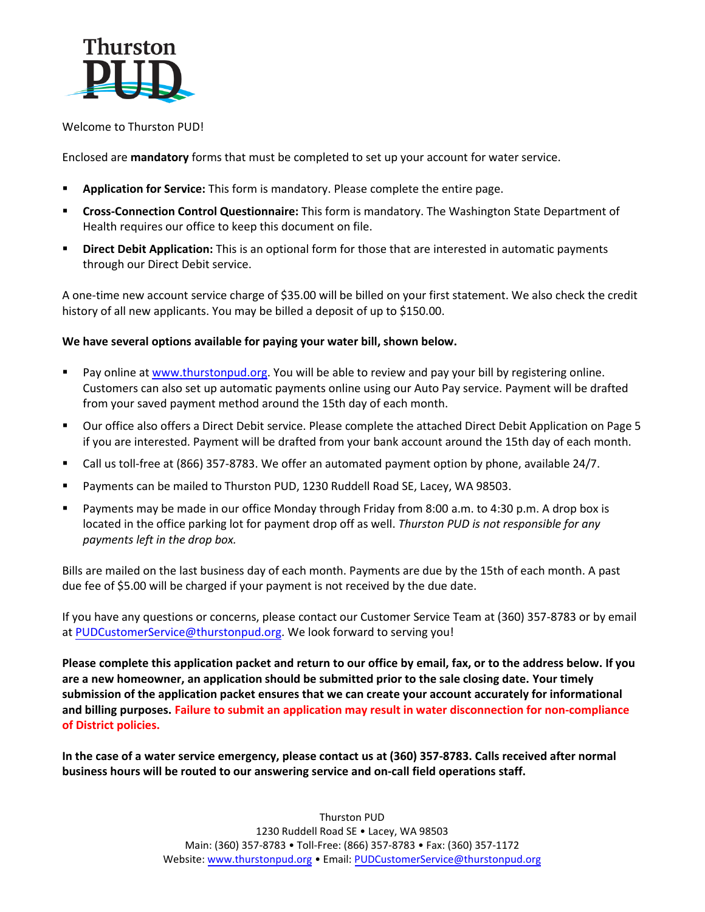

## Welcome to Thurston PUD!

Enclosed are **mandatory** forms that must be completed to set up your account for water service.

- Application for Service: This form is mandatory. Please complete the entire page.
- **Cross-Connection Control Questionnaire:** This form is mandatory. The Washington State Department of Health requires our office to keep this document on file.
- **EXTE: Direct Debit Application:** This is an optional form for those that are interested in automatic payments through our Direct Debit service.

A one-time new account service charge of \$35.00 will be billed on your first statement. We also check the credit history of all new applicants. You may be billed a deposit of up to \$150.00.

# **We have several options available for paying your water bill, shown below.**

- Pay online at [www.thurstonpud.org.](http://www.thurstonpud.org/) You will be able to review and pay your bill by registering online. Customers can also set up automatic payments online using our Auto Pay service. Payment will be drafted from your saved payment method around the 15th day of each month.
- Our office also offers a Direct Debit service. Please complete the attached Direct Debit Application on Page 5 if you are interested. Payment will be drafted from your bank account around the 15th day of each month.
- Call us toll-free at (866) 357-8783. We offer an automated payment option by phone, available 24/7.
- Payments can be mailed to Thurston PUD, 1230 Ruddell Road SE, Lacey, WA 98503.
- Payments may be made in our office Monday through Friday from 8:00 a.m. to 4:30 p.m. A drop box is located in the office parking lot for payment drop off as well. *Thurston PUD is not responsible for any payments left in the drop box.*

Bills are mailed on the last business day of each month. Payments are due by the 15th of each month. A past due fee of \$5.00 will be charged if your payment is not received by the due date.

If you have any questions or concerns, please contact our Customer Service Team at (360) 357-8783 or by email at [PUDCustomerService@thurstonpud.org.](mailto:PUDCustomerService@thurstonpud.org) We look forward to serving you!

**Please complete this application packet and return to our office by email, fax, or to the address below. If you are a new homeowner, an application should be submitted prior to the sale closing date. Your timely submission of the application packet ensures that we can create your account accurately for informational and billing purposes. Failure to submit an application may result in water disconnection for non-compliance of District policies.**

**In the case of a water service emergency, please contact us at (360) 357-8783. Calls received after normal business hours will be routed to our answering service and on-call field operations staff.**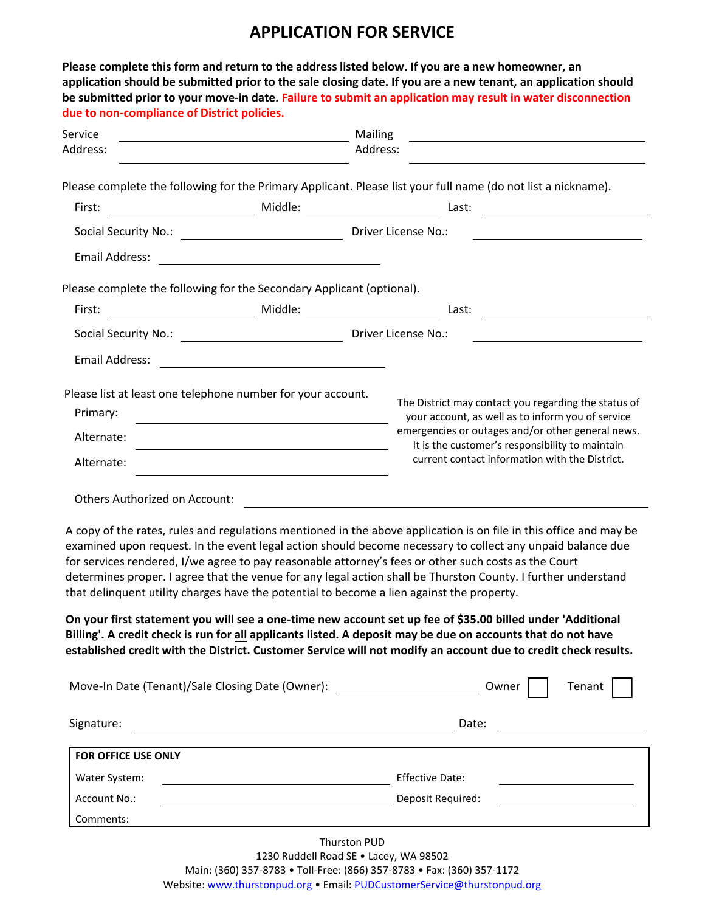# **APPLICATION FOR SERVICE**

| due to non-compliance of District policies.                           |                                                                                                                                 | Please complete this form and return to the address listed below. If you are a new homeowner, an<br>application should be submitted prior to the sale closing date. If you are a new tenant, an application should<br>be submitted prior to your move-in date. Failure to submit an application may result in water disconnection                                                                                                                                                                                                                                                                                                                                                                                                                                                                         |  |  |  |
|-----------------------------------------------------------------------|---------------------------------------------------------------------------------------------------------------------------------|-----------------------------------------------------------------------------------------------------------------------------------------------------------------------------------------------------------------------------------------------------------------------------------------------------------------------------------------------------------------------------------------------------------------------------------------------------------------------------------------------------------------------------------------------------------------------------------------------------------------------------------------------------------------------------------------------------------------------------------------------------------------------------------------------------------|--|--|--|
| Service                                                               | Mailing<br><u> 1980 - Johann Barn, mars ar breithinn ar breithinn ar breithinn ar breithinn ar breithinn ar breithinn ar br</u> |                                                                                                                                                                                                                                                                                                                                                                                                                                                                                                                                                                                                                                                                                                                                                                                                           |  |  |  |
| Address:                                                              | Address:                                                                                                                        |                                                                                                                                                                                                                                                                                                                                                                                                                                                                                                                                                                                                                                                                                                                                                                                                           |  |  |  |
|                                                                       |                                                                                                                                 | Please complete the following for the Primary Applicant. Please list your full name (do not list a nickname).                                                                                                                                                                                                                                                                                                                                                                                                                                                                                                                                                                                                                                                                                             |  |  |  |
| First:                                                                |                                                                                                                                 |                                                                                                                                                                                                                                                                                                                                                                                                                                                                                                                                                                                                                                                                                                                                                                                                           |  |  |  |
|                                                                       |                                                                                                                                 |                                                                                                                                                                                                                                                                                                                                                                                                                                                                                                                                                                                                                                                                                                                                                                                                           |  |  |  |
| Email Address:                                                        | <u> 1989 - Johann Barn, mars eta bat erroman erroman erroman erroman erroman erroman erroman erroman erroman err</u>            |                                                                                                                                                                                                                                                                                                                                                                                                                                                                                                                                                                                                                                                                                                                                                                                                           |  |  |  |
|                                                                       | Please complete the following for the Secondary Applicant (optional).                                                           |                                                                                                                                                                                                                                                                                                                                                                                                                                                                                                                                                                                                                                                                                                                                                                                                           |  |  |  |
| First:                                                                |                                                                                                                                 | Last:                                                                                                                                                                                                                                                                                                                                                                                                                                                                                                                                                                                                                                                                                                                                                                                                     |  |  |  |
|                                                                       |                                                                                                                                 | Driver License No.:                                                                                                                                                                                                                                                                                                                                                                                                                                                                                                                                                                                                                                                                                                                                                                                       |  |  |  |
| <b>Email Address:</b>                                                 |                                                                                                                                 |                                                                                                                                                                                                                                                                                                                                                                                                                                                                                                                                                                                                                                                                                                                                                                                                           |  |  |  |
| Primary:<br>Alternate:<br>Alternate:<br>Others Authorized on Account: | Please list at least one telephone number for your account.                                                                     | The District may contact you regarding the status of<br>your account, as well as to inform you of service<br>emergencies or outages and/or other general news.<br>It is the customer's responsibility to maintain<br>current contact information with the District.                                                                                                                                                                                                                                                                                                                                                                                                                                                                                                                                       |  |  |  |
|                                                                       | that delinquent utility charges have the potential to become a lien against the property.                                       | A copy of the rates, rules and regulations mentioned in the above application is on file in this office and may be<br>examined upon request. In the event legal action should become necessary to collect any unpaid balance due<br>for services rendered, I/we agree to pay reasonable attorney's fees or other such costs as the Court<br>determines proper. I agree that the venue for any legal action shall be Thurston County. I further understand<br>On your first statement you will see a one-time new account set up fee of \$35.00 billed under 'Additional<br>Billing'. A credit check is run for all applicants listed. A deposit may be due on accounts that do not have<br>established credit with the District. Customer Service will not modify an account due to credit check results. |  |  |  |
|                                                                       | Move-In Date (Tenant)/Sale Closing Date (Owner): _______________________________                                                | Tenant<br>Owner                                                                                                                                                                                                                                                                                                                                                                                                                                                                                                                                                                                                                                                                                                                                                                                           |  |  |  |
| Signature:                                                            |                                                                                                                                 | Date:                                                                                                                                                                                                                                                                                                                                                                                                                                                                                                                                                                                                                                                                                                                                                                                                     |  |  |  |
| FOR OFFICE USE ONLY                                                   |                                                                                                                                 |                                                                                                                                                                                                                                                                                                                                                                                                                                                                                                                                                                                                                                                                                                                                                                                                           |  |  |  |
| Water System:                                                         | <u> 1989 - Johann Stoff, fransk politik (d. 1989)</u>                                                                           | <b>Effective Date:</b>                                                                                                                                                                                                                                                                                                                                                                                                                                                                                                                                                                                                                                                                                                                                                                                    |  |  |  |
| Account No.:                                                          |                                                                                                                                 | Deposit Required:                                                                                                                                                                                                                                                                                                                                                                                                                                                                                                                                                                                                                                                                                                                                                                                         |  |  |  |
| Comments:                                                             |                                                                                                                                 |                                                                                                                                                                                                                                                                                                                                                                                                                                                                                                                                                                                                                                                                                                                                                                                                           |  |  |  |

Thurston PUD 1230 Ruddell Road SE • Lacey, WA 98502 Main: (360) 357-8783 • Toll-Free: (866) 357-8783 • Fax: (360) 357-1172 Website: [www.thurstonpud.org](http://www.thurstonpud.org/) • Email: [PUDCustomerService@thurstonpud.org](mailto:PUDCustomerService@thurstonpud.org)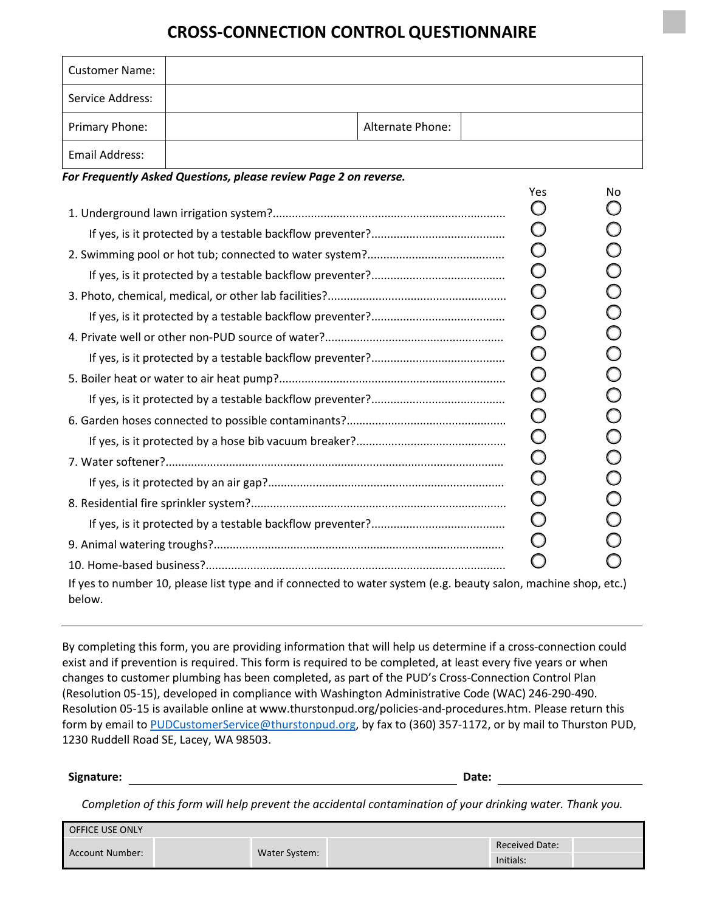# **CROSS-CONNECTION CONTROL QUESTIONNAIRE**

| <b>Customer Name:</b> |                                                                                                                |                  |            |            |
|-----------------------|----------------------------------------------------------------------------------------------------------------|------------------|------------|------------|
| Service Address:      |                                                                                                                |                  |            |            |
| Primary Phone:        |                                                                                                                | Alternate Phone: |            |            |
| <b>Email Address:</b> |                                                                                                                |                  |            |            |
|                       | For Frequently Asked Questions, please review Page 2 on reverse.                                               |                  |            |            |
|                       |                                                                                                                |                  | Yes        | No         |
|                       |                                                                                                                |                  | Ő          |            |
|                       |                                                                                                                |                  | $\bigcirc$ |            |
|                       |                                                                                                                |                  | $\bigcirc$ |            |
|                       |                                                                                                                |                  | $\bigcirc$ |            |
|                       |                                                                                                                |                  | $\bigcirc$ |            |
|                       |                                                                                                                |                  | $\bigcirc$ |            |
|                       |                                                                                                                |                  | $\bigcirc$ |            |
|                       |                                                                                                                |                  | $\bigcirc$ |            |
|                       |                                                                                                                |                  | $\bigcirc$ |            |
|                       |                                                                                                                |                  | $\bigcirc$ |            |
|                       |                                                                                                                |                  | $\bigcirc$ | $\bigcirc$ |
|                       |                                                                                                                |                  | $\bigcirc$ |            |
|                       |                                                                                                                |                  | $\bigcirc$ |            |
|                       |                                                                                                                |                  | $\bigcirc$ |            |
|                       |                                                                                                                |                  | $\bigcirc$ |            |
|                       |                                                                                                                |                  | $\bigcirc$ |            |
|                       |                                                                                                                |                  | $\bigcirc$ |            |
|                       |                                                                                                                |                  |            |            |
|                       |                                                                                                                |                  |            |            |
| below.                | If yes to number 10, please list type and if connected to water system (e.g. beauty salon, machine shop, etc.) |                  |            |            |

By completing this form, you are providing information that will help us determine if a cross-connection could exist and if prevention is required. This form is required to be completed, at least every five years or when changes to customer plumbing has been completed, as part of the PUD's Cross-Connection Control Plan (Resolution 05-15), developed in compliance with Washington Administrative Code (WAC) 246-290-490. Resolution 05-15 is available online at www.thurstonpud.org/policies-and-procedures.htm. Please return this form by email to [PUDCustomerService@thurstonpud.org,](mailto:PUDCustomerService@thurstonpud.org) by fax to (360) 357-1172, or by mail to Thurston PUD, 1230 Ruddell Road SE, Lacey, WA 98503.

**Signature: Date:**

*Completion of this form will help prevent the accidental contamination of your drinking water. Thank you.*

| <b>OFFICE USE ONLY</b> |               |                       |  |
|------------------------|---------------|-----------------------|--|
| Account Number:        |               | <b>Received Date:</b> |  |
|                        | Water System: | Initials:             |  |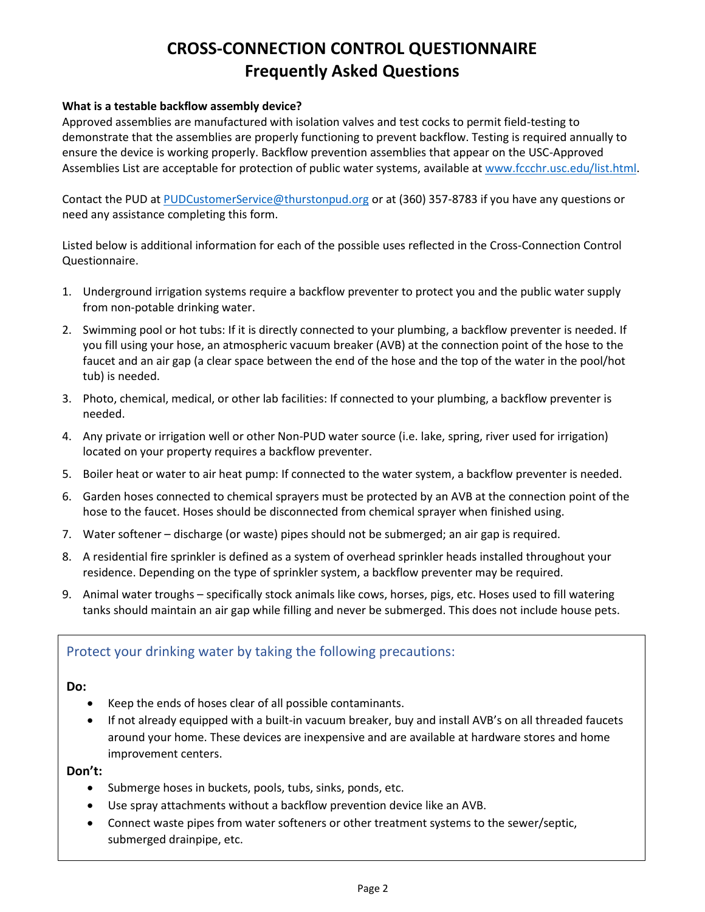# **CROSS-CONNECTION CONTROL QUESTIONNAIRE Frequently Asked Questions**

## **What is a testable backflow assembly device?**

Approved assemblies are manufactured with isolation valves and test cocks to permit field-testing to demonstrate that the assemblies are properly functioning to prevent backflow. Testing is required annually to ensure the device is working properly. Backflow prevention assemblies that appear on the USC-Approved Assemblies List are acceptable for protection of public water systems, available at [www.fccchr.usc.edu/list.html.](http://www.fccchr.usc.edu/list.html)

Contact the PUD at [PUDCustomerService@thurstonpud.org](mailto:PUDCustomerService@thurstonpud.org) or at (360) 357-8783 if you have any questions or need any assistance completing this form.

Listed below is additional information for each of the possible uses reflected in the Cross-Connection Control Questionnaire.

- 1. Underground irrigation systems require a backflow preventer to protect you and the public water supply from non-potable drinking water.
- 2. Swimming pool or hot tubs: If it is directly connected to your plumbing, a backflow preventer is needed. If you fill using your hose, an atmospheric vacuum breaker (AVB) at the connection point of the hose to the faucet and an air gap (a clear space between the end of the hose and the top of the water in the pool/hot tub) is needed.
- 3. Photo, chemical, medical, or other lab facilities: If connected to your plumbing, a backflow preventer is needed.
- 4. Any private or irrigation well or other Non-PUD water source (i.e. lake, spring, river used for irrigation) located on your property requires a backflow preventer.
- 5. Boiler heat or water to air heat pump: If connected to the water system, a backflow preventer is needed.
- 6. Garden hoses connected to chemical sprayers must be protected by an AVB at the connection point of the hose to the faucet. Hoses should be disconnected from chemical sprayer when finished using.
- 7. Water softener discharge (or waste) pipes should not be submerged; an air gap is required.
- 8. A residential fire sprinkler is defined as a system of overhead sprinkler heads installed throughout your residence. Depending on the type of sprinkler system, a backflow preventer may be required.
- 9. Animal water troughs specifically stock animals like cows, horses, pigs, etc. Hoses used to fill watering tanks should maintain an air gap while filling and never be submerged. This does not include house pets.

# Protect your drinking water by taking the following precautions:

### **Do:**

- Keep the ends of hoses clear of all possible contaminants.
- If not already equipped with a built-in vacuum breaker, buy and install AVB's on all threaded faucets around your home. These devices are inexpensive and are available at hardware stores and home improvement centers.

## **Don't:**

- Submerge hoses in buckets, pools, tubs, sinks, ponds, etc.
- Use spray attachments without a backflow prevention device like an AVB.
- Connect waste pipes from water softeners or other treatment systems to the sewer/septic, submerged drainpipe, etc.